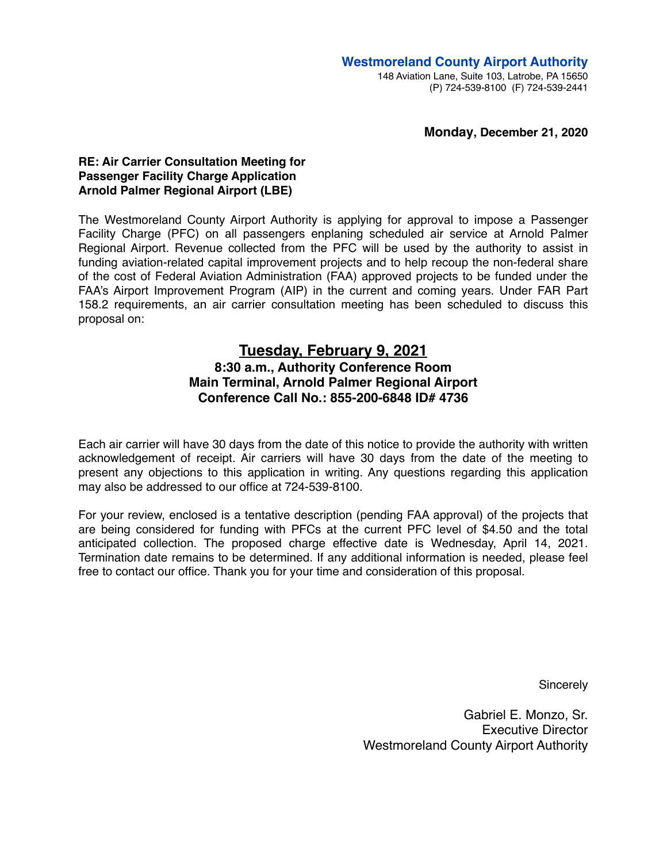#### **Monday, December 21, 2020**

### **RE: Air Carrier Consultation Meeting for Passenger Facility Charge Application Arnold Palmer Regional Airport (LBE)**

The Westmoreland County Airport Authority is applying for approval to impose a Passenger Facility Charge (PFC) on all passengers enplaning scheduled air service at Arnold Palmer Regional Airport. Revenue collected from the PFC will be used by the authority to assist in funding aviation-related capital improvement projects and to help recoup the non-federal share of the cost of Federal Aviation Administration (FAA) approved projects to be funded under the FAA's Airport Improvement Program (AIP) in the current and coming years. Under FAR Part 158.2 requirements, an air carrier consultation meeting has been scheduled to discuss this proposal on:

# **Tuesday, February 9, 2021 8:30 a.m., Authority Conference Room Main Terminal, Arnold Palmer Regional Airport Conference Call No.: 855-200-6848 ID# 4736**

Each air carrier will have 30 days from the date of this notice to provide the authority with written acknowledgement of receipt. Air carriers will have 30 days from the date of the meeting to present any objections to this application in writing. Any questions regarding this application may also be addressed to our office at 724-539-8100.

For your review, enclosed is a tentative description (pending FAA approval) of the projects that are being considered for funding with PFCs at the current PFC level of \$4.50 and the total anticipated collection. The proposed charge effective date is Wednesday, April 14, 2021. Termination date remains to be determined. If any additional information is needed, please feel free to contact our office. Thank you for your time and consideration of this proposal.

**Sincerely** 

Gabriel E. Monzo, Sr. Executive Director Westmoreland County Airport Authority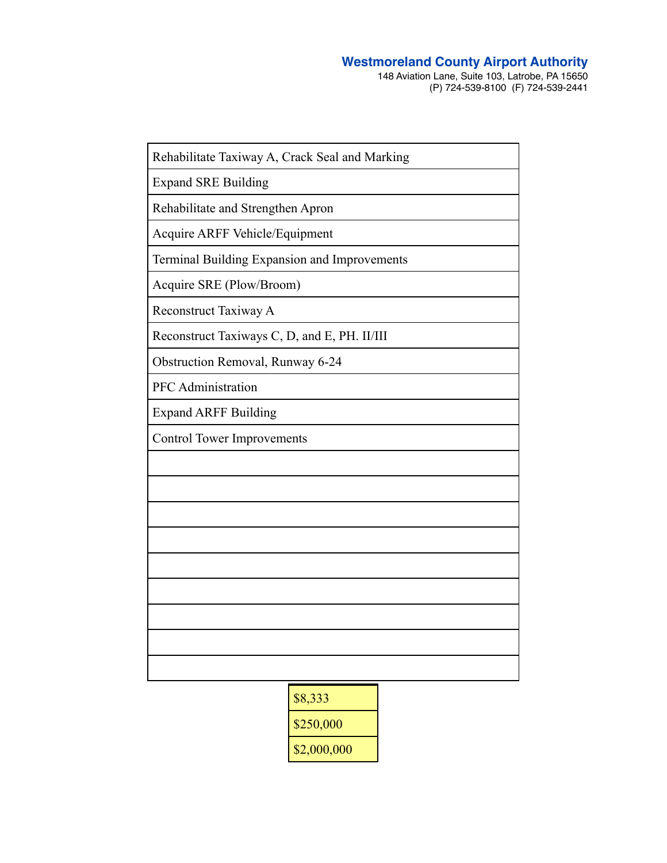## **Westmoreland County Airport Authority**

148 Aviation Lane, Suite 103, Latrobe, PA 15650 (P) 724-539-8100 (F) 724-539-2441

| Rehabilitate Taxiway A, Crack Seal and Marking |
|------------------------------------------------|
| <b>Expand SRE Building</b>                     |
| Rehabilitate and Strengthen Apron              |
| Acquire ARFF Vehicle/Equipment                 |
| Terminal Building Expansion and Improvements   |
| Acquire SRE (Plow/Broom)                       |
| Reconstruct Taxiway A                          |
| Reconstruct Taxiways C, D, and E, PH. II/III   |
| Obstruction Removal, Runway 6-24               |
| <b>PFC</b> Administration                      |
| <b>Expand ARFF Building</b>                    |
| <b>Control Tower Improvements</b>              |
|                                                |
|                                                |
|                                                |
|                                                |
|                                                |
|                                                |
|                                                |
|                                                |
|                                                |